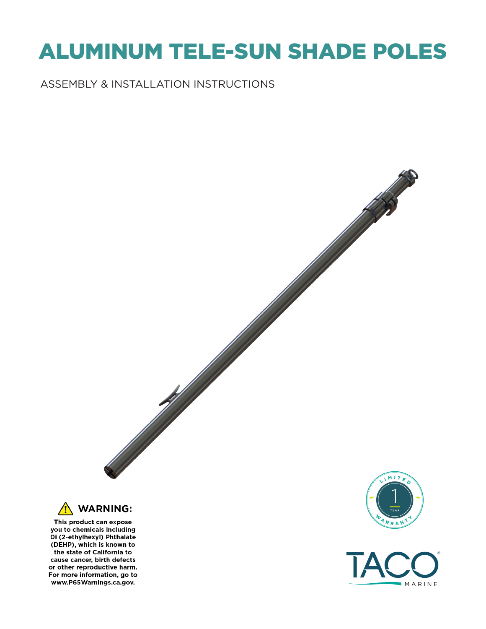## ALUMINUM TELE-SUN SHADE POLES

#### ASSEMBLY & INSTALLATION INSTRUCTIONS



This product can expose you to chemicals including Di (2-ethylhexyl) Phthalate (DEHP), which is known to the state of California to cause cancer, birth defects or other reproductive harm. For more information, go to www.P65Warnings.ca.gov.



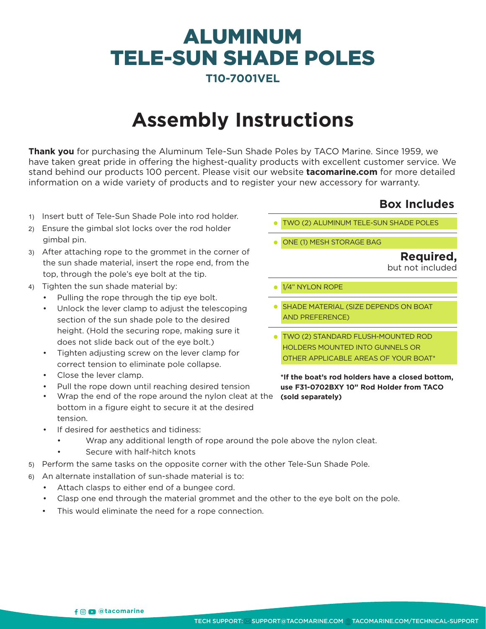## ALUMINUM TELE-SUN SHADE POLES

#### **T10-7001VEL**

## **Assembly Instructions**

**Thank you** for purchasing the Aluminum Tele-Sun Shade Poles by TACO Marine. Since 1959, we have taken great pride in offering the highest-quality products with excellent customer service. We stand behind our products 100 percent. Please visit our website **tacomarine.com** for more detailed information on a wide variety of products and to register your new accessory for warranty.

- 1) Insert butt of Tele-Sun Shade Pole into rod holder.
- 2) Ensure the gimbal slot locks over the rod holder gimbal pin.
- 3) After attaching rope to the grommet in the corner of the sun shade material, insert the rope end, from the top, through the pole's eye bolt at the tip.
- 4) Tighten the sun shade material by:
	- Pulling the rope through the tip eye bolt.
	- Unlock the lever clamp to adjust the telescoping section of the sun shade pole to the desired height. (Hold the securing rope, making sure it does not slide back out of the eye bolt.)
	- Tighten adjusting screw on the lever clamp for correct tension to eliminate pole collapse.
	- Close the lever clamp.
	- Pull the rope down until reaching desired tension
	- Wrap the end of the rope around the nylon cleat at the **(sold separately)**bottom in a figure eight to secure it at the desired tension.
	- If desired for aesthetics and tidiness:
		- Wrap any additional length of rope around the pole above the nylon cleat.
		- Secure with half-hitch knots
- 5) Perform the same tasks on the opposite corner with the other Tele-Sun Shade Pole.
- 6) An alternate installation of sun-shade material is to:
	- Attach clasps to either end of a bungee cord.
	- Clasp one end through the material grommet and the other to the eye bolt on the pole.
	- This would eliminate the need for a rope connection.

#### **Box Includes**

- **•** TWO (2) ALUMINUM TELE-SUN SHADE POLES
- **•** ONE (1) MESH STORAGE BAG

**Required,**

but not included

- **•** 1/4" NYLON ROPE
- **•** SHADE MATERIAL (SIZE DEPENDS ON BOAT AND PREFERENCE)
- **•** TWO (2) STANDARD FLUSH-MOUNTED ROD HOLDERS MOUNTED INTO GUNNELS OR OTHER APPLICABLE AREAS OF YOUR BOAT\*

**\*If the boat's rod holders have a closed bottom, use F31-0702BXY 10" Rod Holder from TACO**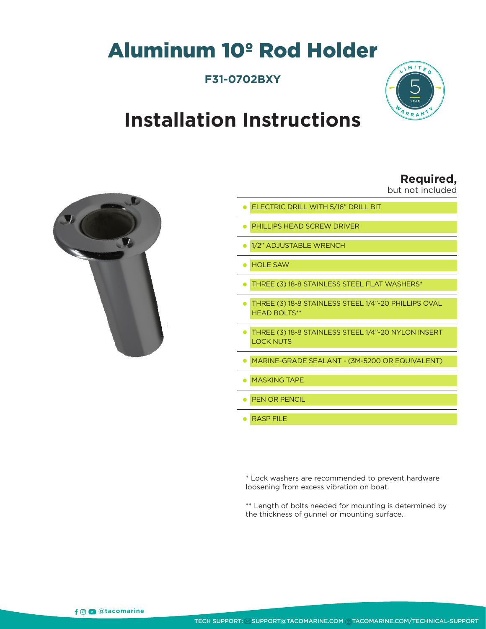## Aluminum 10º Rod Holder

### **F31-0702BXY**



## **Installation Instructions**

#### **Required,**

but not included



| ELECTRIC DRILL WITH 5/16" DRILL BIT                                         |
|-----------------------------------------------------------------------------|
| PHILLIPS HEAD SCREW DRIVER                                                  |
| 1/2" ADJUSTABLE WRENCH                                                      |
| HOI F SAW                                                                   |
| THREE (3) 18-8 STAINLESS STEEL FLAT WASHERS*                                |
| THREE (3) 18-8 STAINLESS STEEL 1/4"-20 PHILLIPS OVAL<br><b>HEAD BOLTS**</b> |
| THREE (3) 18-8 STAINLESS STEEL 1/4"-20 NYLON INSERT<br><b>LOCK NUTS</b>     |
| MARINE-GRADE SEALANT - (3M-5200 OR EQUIVALENT)                              |
| <b>MASKING TAPF</b>                                                         |
| PEN OR PENCIL                                                               |
| <b>RASP FILE</b>                                                            |

\* Lock washers are recommended to prevent hardware loosening from excess vibration on boat.

\*\* Length of bolts needed for mounting is determined by the thickness of gunnel or mounting surface.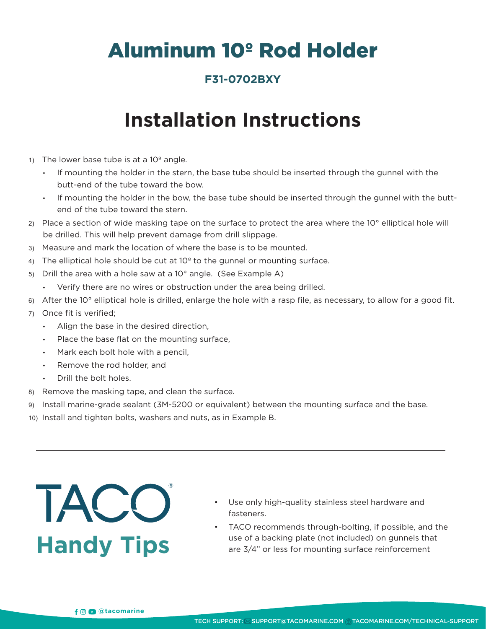## Aluminum 10º Rod Holder

### **F31-0702BXY**

## **Installation Instructions**

- 1) The lower base tube is at a  $10^{\circ}$  angle.
	- If mounting the holder in the stern, the base tube should be inserted through the gunnel with the butt-end of the tube toward the bow.
	- If mounting the holder in the bow, the base tube should be inserted through the gunnel with the buttend of the tube toward the stern.
- 2) Place a section of wide masking tape on the surface to protect the area where the 10° elliptical hole will be drilled. This will help prevent damage from drill slippage.
- 3) Measure and mark the location of where the base is to be mounted.
- 4) The elliptical hole should be cut at  $10<sup>°</sup>$  to the gunnel or mounting surface.
- 5) Drill the area with a hole saw at a 10° angle. (See Example A)
	- Verify there are no wires or obstruction under the area being drilled.
- 6) After the 10° elliptical hole is drilled, enlarge the hole with a rasp file, as necessary, to allow for a good fit.
- 7) Once fit is verified;
	- Align the base in the desired direction,
	- Place the base flat on the mounting surface,
	- Mark each bolt hole with a pencil,
	- Remove the rod holder, and
	- Drill the bolt holes.
- 8) Remove the masking tape, and clean the surface.
- 9) Install marine-grade sealant (3M-5200 or equivalent) between the mounting surface and the base.
- 10) Install and tighten bolts, washers and nuts, as in Example B.

# **Handy Tips** TACO

- Use only high-quality stainless steel hardware and fasteners.
- TACO recommends through-bolting, if possible, and the use of a backing plate (not included) on gunnels that are 3/4" or less for mounting surface reinforcement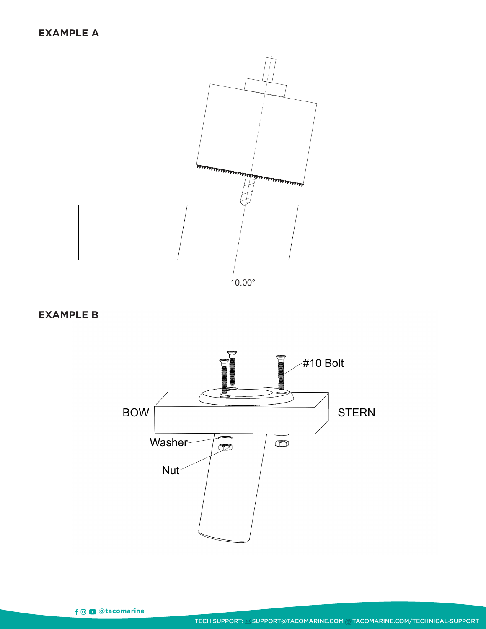

**EXAMPLE B**

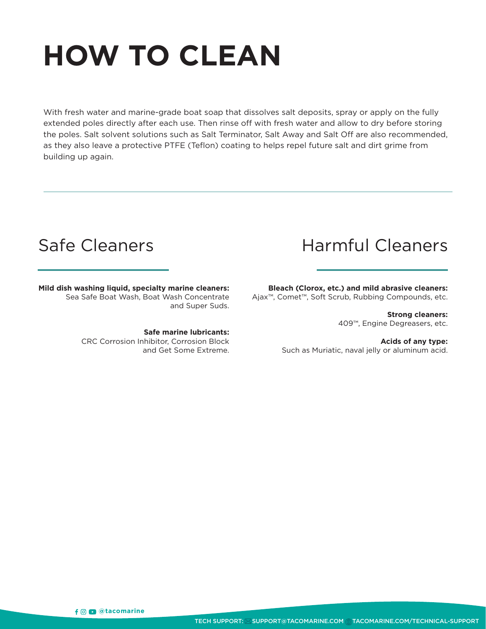# **HOW TO CLEAN**

With fresh water and marine-grade boat soap that dissolves salt deposits, spray or apply on the fully extended poles directly after each use. Then rinse off with fresh water and allow to dry before storing the poles. Salt solvent solutions such as Salt Terminator, Salt Away and Salt Off are also recommended, as they also leave a protective PTFE (Teflon) coating to helps repel future salt and dirt grime from building up again.

#### **Mild dish washing liquid, specialty marine cleaners:**  Sea Safe Boat Wash, Boat Wash Concentrate and Super Suds.

**Safe marine lubricants:**  CRC Corrosion Inhibitor, Corrosion Block and Get Some Extreme.

## Safe Cleaners **Harmful Cleaners**

**Bleach (Clorox, etc.) and mild abrasive cleaners:** Ajax™, Comet™, Soft Scrub, Rubbing Compounds, etc.

> **Strong cleaners:** 409™, Engine Degreasers, etc.

#### **Acids of any type:**

Such as Muriatic, naval jelly or aluminum acid.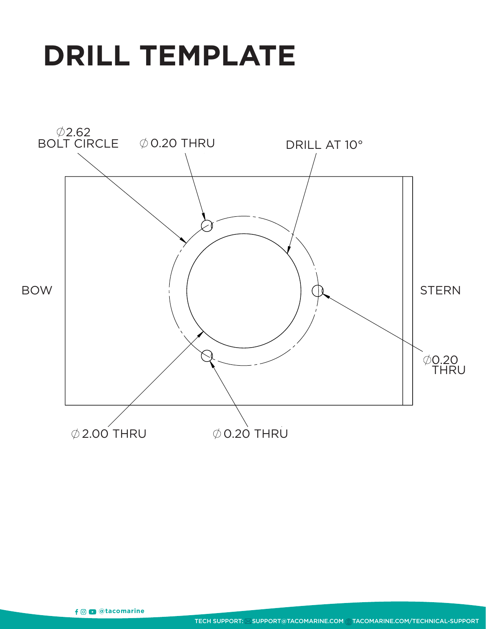# **DRILL TEMPLATE**